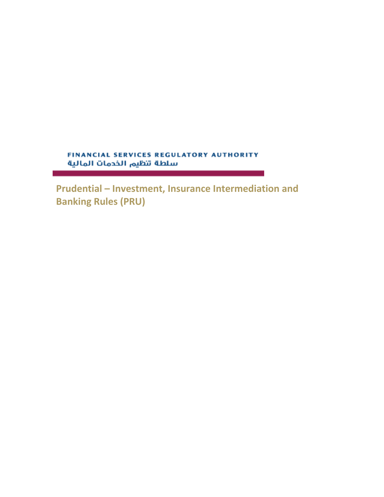FINANCIAL SERVICES REGULATORY AUTHORITY سلطة تنظيم الخدمات المالية

**Prudential – Investment, Insurance Intermediation and Banking Rules (PRU)**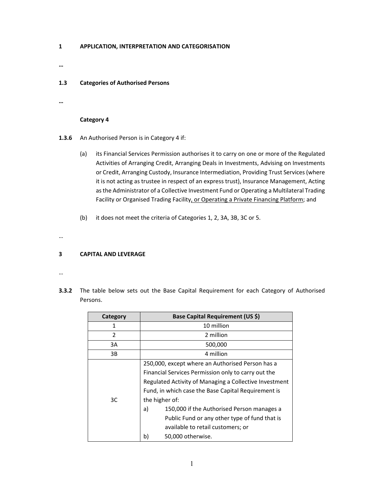### **1 APPLICATION, INTERPRETATION AND CATEGORISATION**

**…** 

#### **1.3 Categories of Authorised Persons**

**…** 

### **Category 4**

- **1.3.6**  An Authorised Person is in Category 4 if:
	- (a) its Financial Services Permission authorises it to carry on one or more of the Regulated Activities of Arranging Credit, Arranging Deals in Investments, Advising on Investments or Credit, Arranging Custody, Insurance Intermediation, Providing Trust Services (where it is not acting as trustee in respect of an express trust), Insurance Management, Acting as the Administrator of a Collective Investment Fund or Operating a Multilateral Trading Facility or Organised Trading Facility, or Operating a Private Financing Platform; and
	- (b) it does not meet the criteria of Categories 1, 2, 3A, 3B, 3C or 5.

…

### **3 CAPITAL AND LEVERAGE**

- …
- **3.3.2** The table below sets out the Base Capital Requirement for each Category of Authorised Persons.

| Category       | Base Capital Requirement (US \$)                                                                                                                                                                                                                                          |
|----------------|---------------------------------------------------------------------------------------------------------------------------------------------------------------------------------------------------------------------------------------------------------------------------|
| 1              | 10 million                                                                                                                                                                                                                                                                |
| $\overline{2}$ | 2 million                                                                                                                                                                                                                                                                 |
| 3A             | 500,000                                                                                                                                                                                                                                                                   |
| 3B             | 4 million                                                                                                                                                                                                                                                                 |
|                | 250,000, except where an Authorised Person has a<br>Financial Services Permission only to carry out the                                                                                                                                                                   |
| 3C             | Regulated Activity of Managing a Collective Investment<br>Fund, in which case the Base Capital Requirement is<br>the higher of:<br>150,000 if the Authorised Person manages a<br>a)<br>Public Fund or any other type of fund that is<br>available to retail customers; or |
|                | b)<br>50,000 otherwise.                                                                                                                                                                                                                                                   |